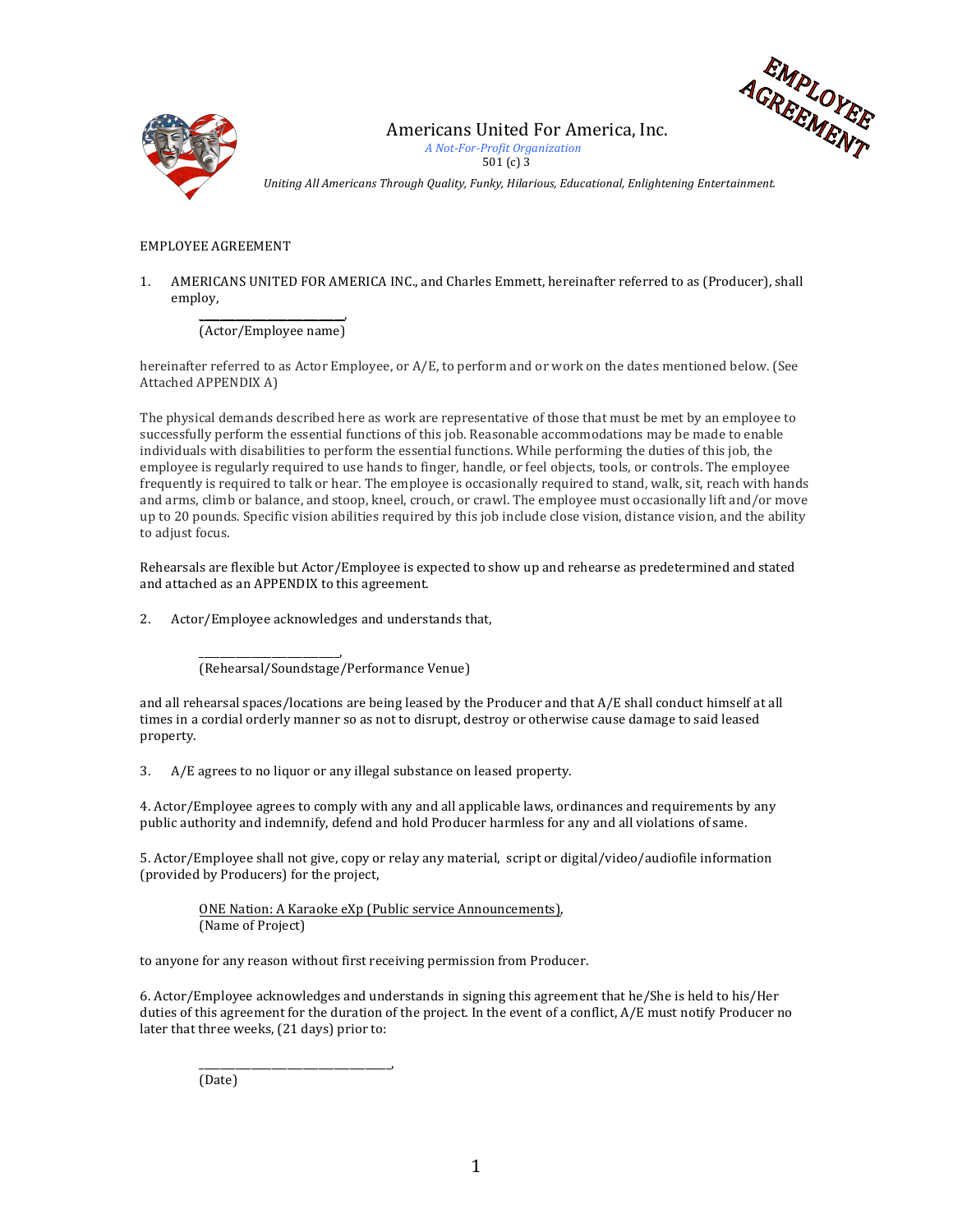



Americans United For America, Inc.

 *A Not-For-Profit Organization*  501 $(c)$  3

Uniting All Americans Through Quality, Funky, Hilarious, Educational, Enlightening Entertainment.

## EMPLOYEE AGREEMENT

1. AMERICANS UNITED FOR AMERICA INC., and Charles Emmett, hereinafter referred to as (Producer), shall employ,

\_\_\_\_\_\_\_\_\_\_\_\_\_\_\_\_\_\_\_\_\_\_\_\_\_\_\_\_, (Actor/Employee name)

hereinafter referred to as Actor Employee, or  $A/E$ , to perform and or work on the dates mentioned below. (See Attached APPENDIX A)

The physical demands described here as work are representative of those that must be met by an employee to successfully perform the essential functions of this job. Reasonable accommodations may be made to enable individuals with disabilities to perform the essential functions. While performing the duties of this job, the employee is regularly required to use hands to finger, handle, or feel objects, tools, or controls. The employee frequently is required to talk or hear. The employee is occasionally required to stand, walk, sit, reach with hands and arms, climb or balance, and stoop, kneel, crouch, or crawl. The employee must occasionally lift and/or move up to 20 pounds. Specific vision abilities required by this job include close vision, distance vision, and the ability to adjust focus.

Rehearsals are flexible but Actor/Employee is expected to show up and rehearse as predetermined and stated and attached as an APPENDIX to this agreement.

2. Actor/Employee acknowledges and understands that,

\_\_\_\_\_\_\_\_\_\_\_\_\_\_\_\_\_\_\_\_\_\_\_\_\_\_\_, (Rehearsal/Soundstage/Performance Venue)

and all rehearsal spaces/locations are being leased by the Producer and that  $A/E$  shall conduct himself at all times in a cordial orderly manner so as not to disrupt, destroy or otherwise cause damage to said leased property.

3. A/E agrees to no liquor or any illegal substance on leased property.

4. Actor/Employee agrees to comply with any and all applicable laws, ordinances and requirements by any public authority and indemnify, defend and hold Producer harmless for any and all violations of same.

5. Actor/Employee shall not give, copy or relay any material, script or digital/video/audiofile information (provided by Producers) for the project,

ONE Nation: A Karaoke eXp (Public service Announcements), (Name of Project)

to anyone for any reason without first receiving permission from Producer.

6. Actor/Employee acknowledges and understands in signing this agreement that he/She is held to his/Her duties of this agreement for the duration of the project. In the event of a conflict, A/E must notify Producer no later that three weeks, (21 days) prior to:

(Date)

\_\_\_\_\_\_\_\_\_\_\_\_\_\_\_\_\_\_\_\_\_\_\_\_\_\_\_\_\_\_\_\_\_\_\_\_\_,